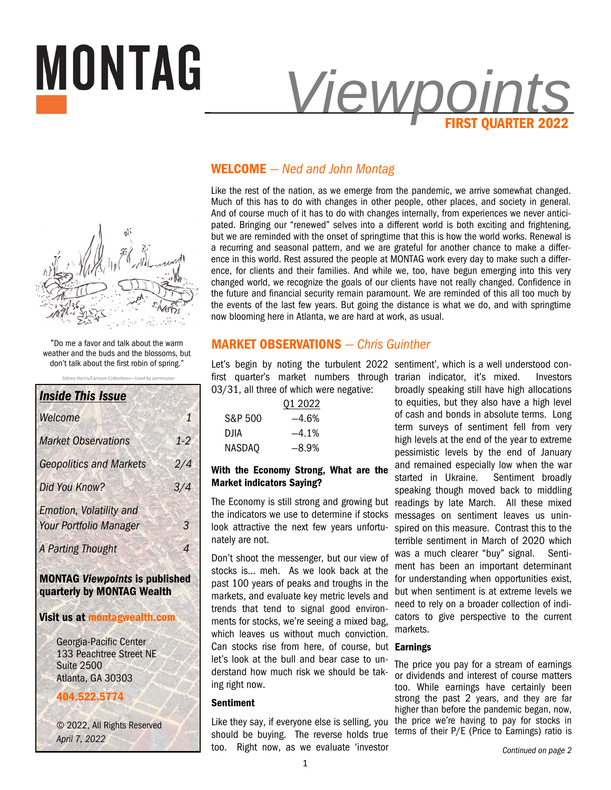



"Do me a favor and talk about the warm weather and the buds and the blossoms, but don't talk about the first robin of spring."

Sidney Harris/Cartoon Collections-Used by permission

| <b>Inside This Issue</b>                                        |       |
|-----------------------------------------------------------------|-------|
| Welcome                                                         | 1     |
| <b>Market Observations</b>                                      | $1-2$ |
| <b>Geopolitics and Markets</b>                                  | 2/4   |
| Did You Know?                                                   | 3/4   |
| <b>Emotion, Volatility and</b><br><b>Your Portfolio Manager</b> | 3     |
| <b>A Parting Thought</b>                                        | 4     |
| <b>MONTAG Viewpoints is published</b>                           |       |

**quarterly by MONTAG Wealth** 

## **Visit us at montagwealth.com**

Georgia-Pacific Center 133 Peachtree Street NE Suite 2500 Atlanta, GA 30303

# **404.522.5774**

© 2022, All Rights Reserved *April 7, 2022* 

# **WELCOME** *— Ned and John Montag*

Like the rest of the nation, as we emerge from the pandemic, we arrive somewhat changed. Much of this has to do with changes in other people, other places, and society in general. And of course much of it has to do with changes internally, from experiences we never anticipated. Bringing our "renewed" selves into a different world is both exciting and frightening, but we are reminded with the onset of springtime that this is how the world works. Renewal is a recurring and seasonal pattern, and we are grateful for another chance to make a difference in this world. Rest assured the people at MONTAG work every day to make such a difference, for clients and their families. And while we, too, have begun emerging into this very changed world, we recognize the goals of our clients have not really changed. Confidence in the future and financial security remain paramount. We are reminded of this all too much by the events of the last few years. But going the distance is what we do, and with springtime now blooming here in Atlanta, we are hard at work, as usual.

# **MARKET OBSERVATIONS** *— Chris Guinther*

Let's begin by noting the turbulent 2022 sentiment', which is a well understood con-03/31, all three of which were negative:

|         | 01 2022 |
|---------|---------|
| S&P 500 | -4.6%   |
| DJIA    | $-4.1%$ |
| NASDAQ  | $-8.9%$ |

# **With the Economy Strong, What are the Market indicators Saying?**

The Economy is still strong and growing but the indicators we use to determine if stocks look attractive the next few years unfortunately are not.

Don't shoot the messenger, but our view of stocks is… meh. As we look back at the past 100 years of peaks and troughs in the markets, and evaluate key metric levels and trends that tend to signal good environments for stocks, we're seeing a mixed bag, which leaves us without much conviction. Can stocks rise from here, of course, but **Earnings**  let's look at the bull and bear case to understand how much risk we should be taking right now.

## **Sentiment**

Like they say, if everyone else is selling, you should be buying. The reverse holds true too. Right now, as we evaluate 'investor

first quarter's market numbers through trarian indicator, it's mixed. Investors broadly speaking still have high allocations to equities, but they also have a high level of cash and bonds in absolute terms. Long term surveys of sentiment fell from very high levels at the end of the year to extreme pessimistic levels by the end of January and remained especially low when the war started in Ukraine. Sentiment broadly speaking though moved back to middling readings by late March. All these mixed messages on sentiment leaves us uninspired on this measure. Contrast this to the terrible sentiment in March of 2020 which was a much clearer "buy" signal. Sentiment has been an important determinant for understanding when opportunities exist, but when sentiment is at extreme levels we need to rely on a broader collection of indicators to give perspective to the current markets.

The price you pay for a stream of earnings or dividends and interest of course matters too. While earnings have certainly been strong the past 2 years, and they are far higher than before the pandemic began, now, the price we're having to pay for stocks in terms of their P/E (Price to Earnings) ratio is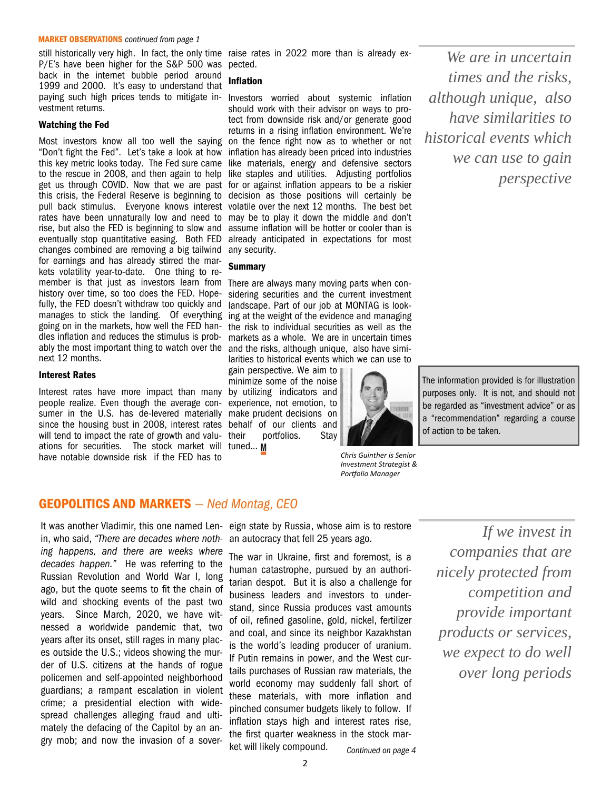#### **MARKET OBSERVATIONS** *continued from page 1*

P/E's have been higher for the S&P 500 was pected. back in the internet bubble period around 1999 and 2000. It's easy to understand that paying such high prices tends to mitigate in-Investors worried about systemic inflation vestment returns.

#### **Watching the Fed**

"Don't fight the Fed". Let's take a look at how this key metric looks today. The Fed sure came to the rescue in 2008, and then again to help this crisis, the Federal Reserve is beginning to pull back stimulus. Everyone knows interest rates have been unnaturally low and need to rise, but also the FED is beginning to slow and eventually stop quantitative easing. Both FED changes combined are removing a big tailwind for earnings and has already stirred the markets volatility year-to-date. One thing to remember is that just as investors learn from There are always many moving parts when conhistory over time, so too does the FED. Hopefully, the FED doesn't withdraw too quickly and manages to stick the landing. Of everything going on in the markets, how well the FED handles inflation and reduces the stimulus is probably the most important thing to watch over the next 12 months.

#### **Interest Rates**

Interest rates have more impact than many by utilizing indicators and people realize. Even though the average consumer in the U.S. has de-levered materially make prudent decisions on since the housing bust in 2008, interest rates behalf of our clients and will tend to impact the rate of growth and valu- their ations for securities. The stock market will tuned… have notable downside risk if the FED has to

still historically very high. In fact, the only time raise rates in 2022 more than is already ex-

#### **Inflation**

Most investors know all too well the saying on the fence right now as to whether or not get us through COVID. Now that we are past for or against inflation appears to be a riskier should work with their advisor on ways to protect from downside risk and/or generate good returns in a rising inflation environment. We're inflation has already been priced into industries like materials, energy and defensive sectors like staples and utilities. Adjusting portfolios decision as those positions will certainly be volatile over the next 12 months. The best bet may be to play it down the middle and don't assume inflation will be hotter or cooler than is already anticipated in expectations for most any security.

#### **Summary**

sidering securities and the current investment landscape. Part of our job at MONTAG is looking at the weight of the evidence and managing the risk to individual securities as well as the markets as a whole. We are in uncertain times and the risks, although unique, also have similarities to historical events which we can use to

gain perspective. We aim to minimize some of the noise experience, not emotion, to portfolios. Stay

*Porƞolio Manager* 

*Chris Guinther is Senior Investment Strategist &* 

*We are in uncertain times and the risks, although unique, also have similarities to historical events which we can use to gain perspective* 

The information provided is for illustration purposes only. It is not, and should not be regarded as "investment advice" or as a "recommendation" regarding a course of action to be taken.

## **GEOPOLITICS AND MARKETS** *— Ned Montag, CEO*

in, who said, *"There are decades where noth-*an autocracy that fell 25 years ago. *ing happens, and there are weeks where decades happen."* He was referring to the Russian Revolution and World War I, long ago, but the quote seems to fit the chain of wild and shocking events of the past two years. Since March, 2020, we have witnessed a worldwide pandemic that, two years after its onset, still rages in many places outside the U.S.; videos showing the murder of U.S. citizens at the hands of rogue policemen and self-appointed neighborhood guardians; a rampant escalation in violent crime; a presidential election with widespread challenges alleging fraud and ultimately the defacing of the Capitol by an angry mob; and now the invasion of a sover-

It was another Vladimir, this one named Len- eign state by Russia, whose aim is to restore

*Continued on page 4*  The war in Ukraine, first and foremost, is a human catastrophe, pursued by an authoritarian despot. But it is also a challenge for business leaders and investors to understand, since Russia produces vast amounts of oil, refined gasoline, gold, nickel, fertilizer and coal, and since its neighbor Kazakhstan is the world's leading producer of uranium. If Putin remains in power, and the West curtails purchases of Russian raw materials, the world economy may suddenly fall short of these materials, with more inflation and pinched consumer budgets likely to follow. If inflation stays high and interest rates rise, the first quarter weakness in the stock market will likely compound.

 $\overline{\phantom{a}}$ 

*If we invest in companies that are nicely protected from competition and provide important products or services, we expect to do well over long periods*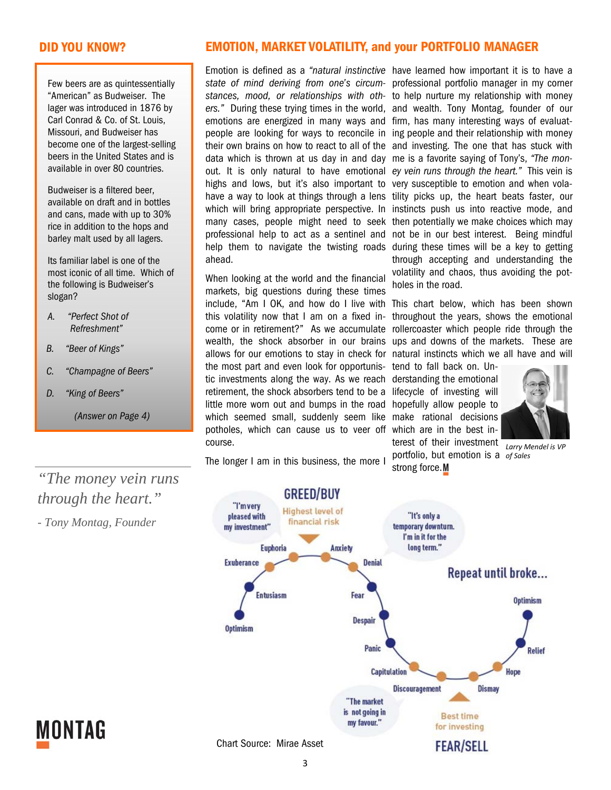Few beers are as quintessentially "American" as Budweiser. The lager was introduced in 1876 by Carl Conrad & Co. of St. Louis, Missouri, and Budweiser has become one of the largest-selling beers in the United States and is available in over 80 countries.

Budweiser is a filtered beer, available on draft and in bottles and cans, made with up to 30% rice in addition to the hops and barley malt used by all lagers.

Its familiar label is one of the most iconic of all time. Which of the following is Budweiser's slogan?

- *A. "Perfect Shot of Refreshment"*
- *B. "Beer of Kings"*
- *C. "Champagne of Beers"*
- *D. "King of Beers"*

*(Answer on Page 4)* 

# **DID YOU KNOW? EMOTION, MARKET VOLATILITY, and your PORTFOLIO MANAGER**

Emotion is defined as a "natural instinctive have learned how important it is to have a emotions are energized in many ways and firm, has many interesting ways of evaluatdata which is thrown at us day in and day me is a favorite saying of Tony's, *"The mon*highs and lows, but it's also important to very susceptible to emotion and when volaahead.

When looking at the world and the financial markets, big questions during these times include, "Am I OK, and how do I live with This chart below, which has been shown this volatility now that I am on a fixed income or in retirement?" As we accumulate wealth, the shock absorber in our brains the most part and even look for opportunistic investments along the way. As we reach derstanding the emotional retirement, the shock absorbers tend to be a lifecycle of investing will little more worn out and bumps in the road hopefully allow people to which seemed small, suddenly seem like make rational decisions potholes, which can cause us to veer off which are in the best incourse.

*state of mind deriving from one's circum-*professional portfolio manager in my corner *stances, mood, or relationships with oth-*to help nurture my relationship with money *ers."* During these trying times in the world, and wealth. Tony Montag, founder of our people are looking for ways to reconcile in ing people and their relationship with money their own brains on how to react to all of the and investing. The one that has stuck with out. It is only natural to have emotional ey vein runs through the heart." This vein is have a way to look at things through a lens tility picks up, the heart beats faster, our which will bring appropriate perspective. In instincts push us into reactive mode, and many cases, people might need to seek then potentially we make choices which may professional help to act as a sentinel and not be in our best interest. Being mindful help them to navigate the twisting roads during these times will be a key to getting through accepting and understanding the volatility and chaos, thus avoiding the potholes in the road.

allows for our emotions to stay in check for natural instincts which we all have and will throughout the years, shows the emotional rollercoaster which people ride through the ups and downs of the markets. These are

> tend to fall back on. Unterest of their investment

strong force.M



portfolio, but emotion is a *of Sales Larry Mendel is VP* 

The longer I am in this business, the more I

*"The money vein runs through the heart."* 

*- Tony Montag, Founder* 



MONTAG